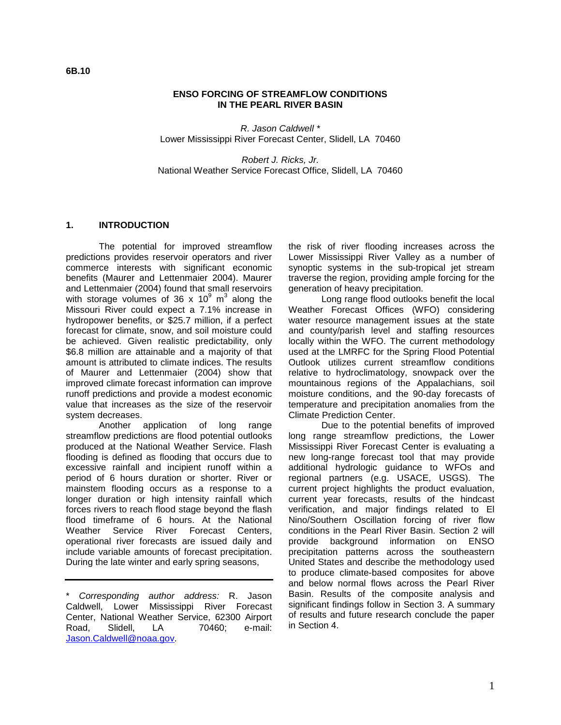**6B.10** 

#### **ENSO FORCING OF STREAMFLOW CONDITIONS IN THE PEARL RIVER BASIN**

R. Jason Caldwell \* Lower Mississippi River Forecast Center, Slidell, LA 70460

Robert J. Ricks, Jr. National Weather Service Forecast Office, Slidell, LA 70460

#### **1. INTRODUCTION**

The potential for improved streamflow predictions provides reservoir operators and river commerce interests with significant economic benefits (Maurer and Lettenmaier 2004). Maurer and Lettenmaier (2004) found that small reservoirs with storage volumes of 36 x 10 $^9$  m<sup>3</sup> along the Missouri River could expect a 7.1% increase in hydropower benefits, or \$25.7 million, if a perfect forecast for climate, snow, and soil moisture could be achieved. Given realistic predictability, only \$6.8 million are attainable and a majority of that amount is attributed to climate indices. The results of Maurer and Lettenmaier (2004) show that improved climate forecast information can improve runoff predictions and provide a modest economic value that increases as the size of the reservoir system decreases.

 Another application of long range streamflow predictions are flood potential outlooks produced at the National Weather Service. Flash flooding is defined as flooding that occurs due to excessive rainfall and incipient runoff within a period of 6 hours duration or shorter. River or mainstem flooding occurs as a response to a longer duration or high intensity rainfall which forces rivers to reach flood stage beyond the flash flood timeframe of 6 hours. At the National Weather Service River Forecast Centers, operational river forecasts are issued daily and include variable amounts of forecast precipitation. During the late winter and early spring seasons,

\* Corresponding author address: R. Jason Caldwell, Lower Mississippi River Forecast Center, National Weather Service, 62300 Airport Road, Slidell, LA 70460; e-mail: Jason.Caldwell@noaa.gov.

the risk of river flooding increases across the Lower Mississippi River Valley as a number of synoptic systems in the sub-tropical jet stream traverse the region, providing ample forcing for the generation of heavy precipitation.

Long range flood outlooks benefit the local Weather Forecast Offices (WFO) considering water resource management issues at the state and county/parish level and staffing resources locally within the WFO. The current methodology used at the LMRFC for the Spring Flood Potential Outlook utilizes current streamflow conditions relative to hydroclimatology, snowpack over the mountainous regions of the Appalachians, soil moisture conditions, and the 90-day forecasts of temperature and precipitation anomalies from the Climate Prediction Center.

Due to the potential benefits of improved long range streamflow predictions, the Lower Mississippi River Forecast Center is evaluating a new long-range forecast tool that may provide additional hydrologic guidance to WFOs and regional partners (e.g. USACE, USGS). The current project highlights the product evaluation, current year forecasts, results of the hindcast verification, and major findings related to El Nino/Southern Oscillation forcing of river flow conditions in the Pearl River Basin. Section 2 will provide background information on ENSO precipitation patterns across the southeastern United States and describe the methodology used to produce climate-based composites for above and below normal flows across the Pearl River Basin. Results of the composite analysis and significant findings follow in Section 3. A summary of results and future research conclude the paper in Section 4.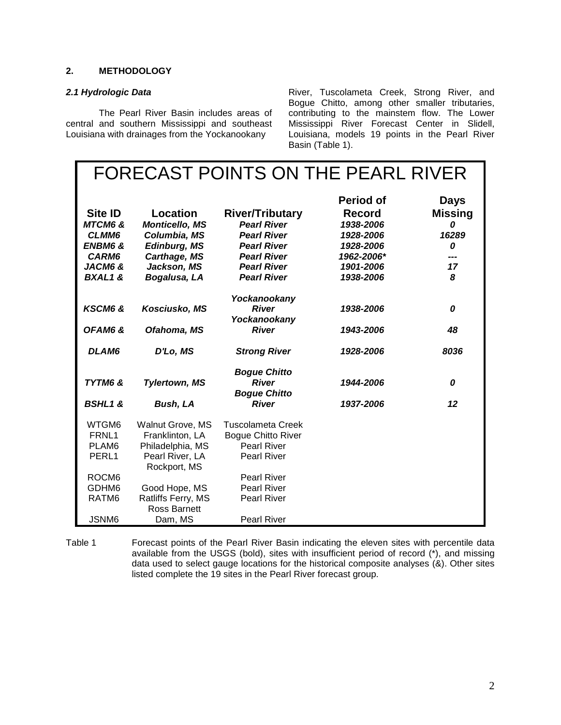## **2. METHODOLOGY**

#### **2.1 Hydrologic Data**

The Pearl River Basin includes areas of central and southern Mississippi and southeast Louisiana with drainages from the Yockanookany

River, Tuscolameta Creek, Strong River, and Bogue Chitto, among other smaller tributaries, contributing to the mainstem flow. The Lower Mississippi River Forecast Center in Slidell, Louisiana, models 19 points in the Pearl River Basin (Table 1).

|                    |                                |                           | FORECAST POINTS ON THE PEARL RIVER |                |
|--------------------|--------------------------------|---------------------------|------------------------------------|----------------|
|                    |                                |                           | <b>Period of</b>                   | <b>Days</b>    |
| <b>Site ID</b>     | Location                       | <b>River/Tributary</b>    | <b>Record</b>                      | <b>Missing</b> |
| <b>MTCM6 &amp;</b> | <b>Monticello, MS</b>          | <b>Pearl River</b>        | 1938-2006                          | 0              |
| CLMM6              | Columbia, MS                   | <b>Pearl River</b>        | 1928-2006                          | 16289          |
| <b>ENBM6 &amp;</b> | <b>Edinburg, MS</b>            | <b>Pearl River</b>        | 1928-2006                          | 0              |
| CARM6              | Carthage, MS                   | <b>Pearl River</b>        | 1962-2006*                         | ---            |
| JACM6 &            | Jackson, MS                    | <b>Pearl River</b>        | 1901-2006                          | 17             |
| <b>BXAL1&amp;</b>  | Bogalusa, LA                   | <b>Pearl River</b>        | 1938-2006                          | 8              |
|                    |                                |                           |                                    |                |
|                    |                                | Yockanookany              |                                    |                |
| KSCM6 &            | Kosciusko, MS                  | <b>River</b>              | 1938-2006                          | 0              |
|                    |                                | Yockanookany              |                                    |                |
| OFAM6&             | Ofahoma, MS                    | <b>River</b>              | 1943-2006                          | 48             |
| DLAM6              | D'Lo, MS                       | <b>Strong River</b>       | 1928-2006                          | 8036           |
|                    |                                | <b>Bogue Chitto</b>       |                                    |                |
| TYTM6 &            | <b>Tylertown, MS</b>           | <b>River</b>              | 1944-2006                          | 0              |
|                    |                                | <b>Bogue Chitto</b>       |                                    |                |
| <b>BSHL1&amp;</b>  | <b>Bush, LA</b>                | <b>River</b>              | 1937-2006                          | 12             |
| WTGM6              | Walnut Grove, MS               | <b>Tuscolameta Creek</b>  |                                    |                |
| FRNL1              | Franklinton, LA                | <b>Bogue Chitto River</b> |                                    |                |
| PLAM <sub>6</sub>  | Philadelphia, MS               | <b>Pearl River</b>        |                                    |                |
| PERL1              | Pearl River, LA                | <b>Pearl River</b>        |                                    |                |
|                    | Rockport, MS                   |                           |                                    |                |
| ROCM <sub>6</sub>  |                                | <b>Pearl River</b>        |                                    |                |
| GDHM6              | Good Hope, MS                  | <b>Pearl River</b>        |                                    |                |
| RATM <sub>6</sub>  | Ratliffs Ferry, MS             | <b>Pearl River</b>        |                                    |                |
|                    |                                |                           |                                    |                |
|                    | <b>Ross Barnett</b><br>Dam, MS |                           |                                    |                |

Table 1 Forecast points of the Pearl River Basin indicating the eleven sites with percentile data available from the USGS (bold), sites with insufficient period of record (\*), and missing data used to select gauge locations for the historical composite analyses (&). Other sites listed complete the 19 sites in the Pearl River forecast group.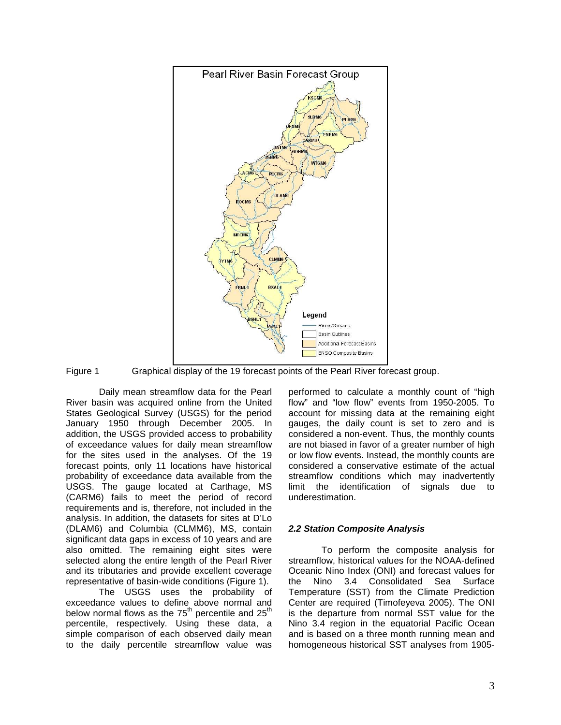

Figure 1 Graphical display of the 19 forecast points of the Pearl River forecast group.

Daily mean streamflow data for the Pearl River basin was acquired online from the United States Geological Survey (USGS) for the period January 1950 through December 2005. In addition, the USGS provided access to probability of exceedance values for daily mean streamflow for the sites used in the analyses. Of the 19 forecast points, only 11 locations have historical probability of exceedance data available from the USGS. The gauge located at Carthage, MS (CARM6) fails to meet the period of record requirements and is, therefore, not included in the analysis. In addition, the datasets for sites at D'Lo (DLAM6) and Columbia (CLMM6), MS, contain significant data gaps in excess of 10 years and are also omitted. The remaining eight sites were selected along the entire length of the Pearl River and its tributaries and provide excellent coverage representative of basin-wide conditions (Figure 1).

The USGS uses the probability of exceedance values to define above normal and below normal flows as the  $75<sup>th</sup>$  percentile and  $25<sup>th</sup>$ percentile, respectively. Using these data, a simple comparison of each observed daily mean to the daily percentile streamflow value was performed to calculate a monthly count of "high flow" and "low flow" events from 1950-2005. To account for missing data at the remaining eight gauges, the daily count is set to zero and is considered a non-event. Thus, the monthly counts are not biased in favor of a greater number of high or low flow events. Instead, the monthly counts are considered a conservative estimate of the actual streamflow conditions which may inadvertently limit the identification of signals due to underestimation.

# **2.2 Station Composite Analysis**

To perform the composite analysis for streamflow, historical values for the NOAA-defined Oceanic Nino Index (ONI) and forecast values for the Nino 3.4 Consolidated Sea Surface Temperature (SST) from the Climate Prediction Center are required (Timofeyeva 2005). The ONI is the departure from normal SST value for the Nino 3.4 region in the equatorial Pacific Ocean and is based on a three month running mean and homogeneous historical SST analyses from 1905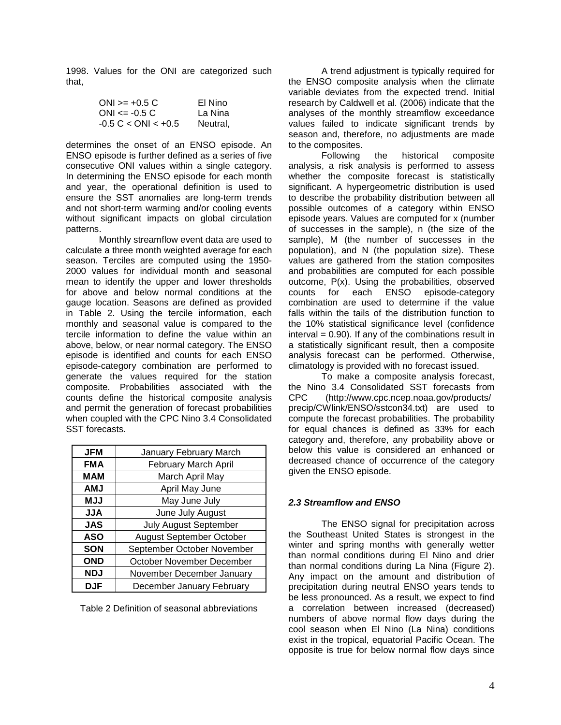1998. Values for the ONI are categorized such that,

| $ONI > = +0.5 C$             | El Nino  |
|------------------------------|----------|
| $ONI \le -0.5 C$             | La Nina  |
| $-0.5 C < \text{ONI} < +0.5$ | Neutral, |

determines the onset of an ENSO episode. An ENSO episode is further defined as a series of five consecutive ONI values within a single category. In determining the ENSO episode for each month and year, the operational definition is used to ensure the SST anomalies are long-term trends and not short-term warming and/or cooling events without significant impacts on global circulation patterns.

Monthly streamflow event data are used to calculate a three month weighted average for each season. Terciles are computed using the 1950- 2000 values for individual month and seasonal mean to identify the upper and lower thresholds for above and below normal conditions at the gauge location. Seasons are defined as provided in Table 2. Using the tercile information, each monthly and seasonal value is compared to the tercile information to define the value within an above, below, or near normal category. The ENSO episode is identified and counts for each ENSO episode-category combination are performed to generate the values required for the station composite. Probabilities associated with the counts define the historical composite analysis and permit the generation of forecast probabilities when coupled with the CPC Nino 3.4 Consolidated SST forecasts.

| <b>JFM</b> | January February March       |
|------------|------------------------------|
| <b>FMA</b> | February March April         |
| MAM        | March April May              |
| <b>AMJ</b> | April May June               |
| <b>MJJ</b> | May June July                |
| <b>ALL</b> | June July August             |
| <b>JAS</b> | <b>July August September</b> |
| <b>ASO</b> | August September October     |
| <b>SON</b> | September October November   |
| <b>OND</b> | October November December    |
| <b>NDJ</b> | November December January    |
| DJF        | December January February    |

Table 2 Definition of seasonal abbreviations

A trend adjustment is typically required for the ENSO composite analysis when the climate variable deviates from the expected trend. Initial research by Caldwell et al. (2006) indicate that the analyses of the monthly streamflow exceedance values failed to indicate significant trends by season and, therefore, no adjustments are made to the composites.

Following the historical composite analysis, a risk analysis is performed to assess whether the composite forecast is statistically significant. A hypergeometric distribution is used to describe the probability distribution between all possible outcomes of a category within ENSO episode years. Values are computed for x (number of successes in the sample), n (the size of the sample), M (the number of successes in the population), and N (the population size). These values are gathered from the station composites and probabilities are computed for each possible outcome, P(x). Using the probabilities, observed counts for each ENSO episode-category combination are used to determine if the value falls within the tails of the distribution function to the 10% statistical significance level (confidence  $interval = 0.90$ . If any of the combinations result in a statistically significant result, then a composite analysis forecast can be performed. Otherwise, climatology is provided with no forecast issued.

To make a composite analysis forecast, the Nino 3.4 Consolidated SST forecasts from CPC (http://www.cpc.ncep.noaa.gov/products/ precip/CWlink/ENSO/sstcon34.txt) are used to compute the forecast probabilities. The probability for equal chances is defined as 33% for each category and, therefore, any probability above or below this value is considered an enhanced or decreased chance of occurrence of the category given the ENSO episode.

# **2.3 Streamflow and ENSO**

The ENSO signal for precipitation across the Southeast United States is strongest in the winter and spring months with generally wetter than normal conditions during El Nino and drier than normal conditions during La Nina (Figure 2). Any impact on the amount and distribution of precipitation during neutral ENSO years tends to be less pronounced. As a result, we expect to find a correlation between increased (decreased) numbers of above normal flow days during the cool season when El Nino (La Nina) conditions exist in the tropical, equatorial Pacific Ocean. The opposite is true for below normal flow days since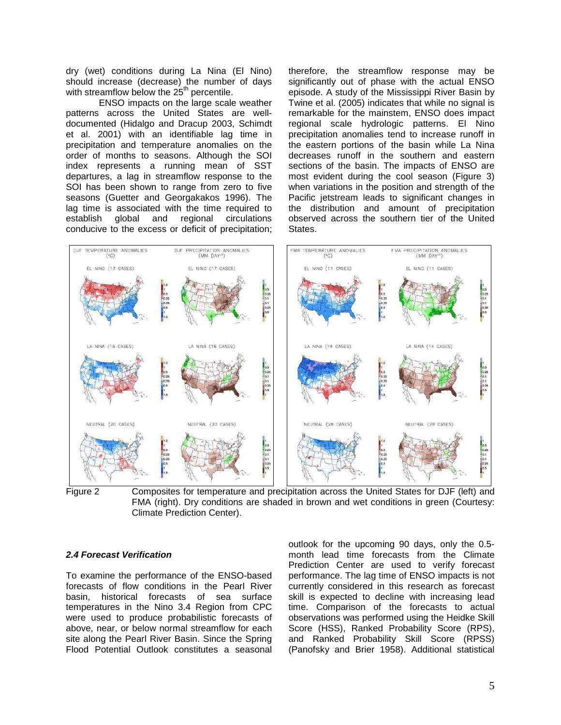dry (wet) conditions during La Nina (El Nino) should increase (decrease) the number of days with streamflow below the  $25<sup>th</sup>$  percentile.

ENSO impacts on the large scale weather patterns across the United States are welldocumented (Hidalgo and Dracup 2003, Schimdt et al. 2001) with an identifiable lag time in precipitation and temperature anomalies on the order of months to seasons. Although the SOI index represents a running mean of SST departures, a lag in streamflow response to the SOI has been shown to range from zero to five seasons (Guetter and Georgakakos 1996). The lag time is associated with the time required to establish global and regional circulations conducive to the excess or deficit of precipitation; therefore, the streamflow response may be significantly out of phase with the actual ENSO episode. A study of the Mississippi River Basin by Twine et al. (2005) indicates that while no signal is remarkable for the mainstem, ENSO does impact regional scale hydrologic patterns. El Nino precipitation anomalies tend to increase runoff in the eastern portions of the basin while La Nina decreases runoff in the southern and eastern sections of the basin. The impacts of ENSO are most evident during the cool season (Figure 3) when variations in the position and strength of the Pacific jetstream leads to significant changes in the distribution and amount of precipitation observed across the southern tier of the United States.



Figure 2 Composites for temperature and precipitation across the United States for DJF (left) and FMA (right). Dry conditions are shaded in brown and wet conditions in green (Courtesy: Climate Prediction Center).

## **2.4 Forecast Verification**

To examine the performance of the ENSO-based forecasts of flow conditions in the Pearl River basin, historical forecasts of sea surface temperatures in the Nino 3.4 Region from CPC were used to produce probabilistic forecasts of above, near, or below normal streamflow for each site along the Pearl River Basin. Since the Spring Flood Potential Outlook constitutes a seasonal outlook for the upcoming 90 days, only the 0.5 month lead time forecasts from the Climate Prediction Center are used to verify forecast performance. The lag time of ENSO impacts is not currently considered in this research as forecast skill is expected to decline with increasing lead time. Comparison of the forecasts to actual observations was performed using the Heidke Skill Score (HSS), Ranked Probability Score (RPS), and Ranked Probability Skill Score (RPSS) (Panofsky and Brier 1958). Additional statistical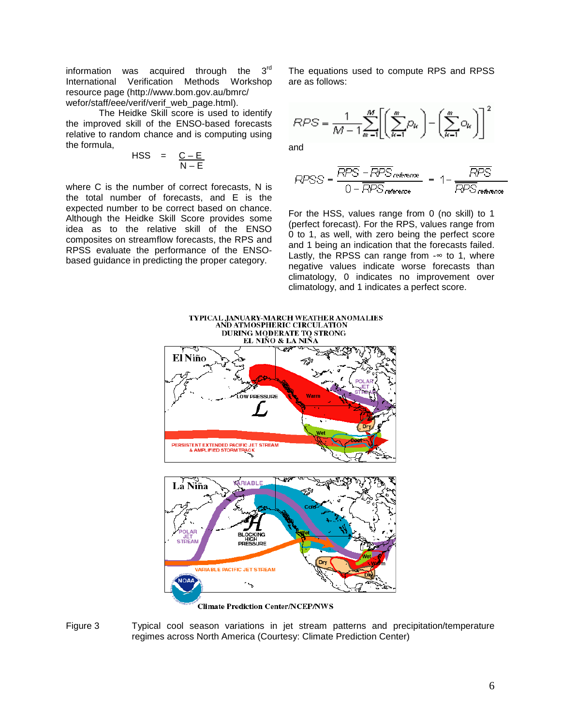information was acquired through the  $3<sup>rd</sup>$ International Verification Methods Workshop resource page (http://www.bom.gov.au/bmrc/ wefor/staff/eee/verif/verif\_web\_page.html).

The Heidke Skill score is used to identify the improved skill of the ENSO-based forecasts relative to random chance and is computing using the formula,

$$
HSS = \frac{C-E}{N-E}
$$

where C is the number of correct forecasts, N is the total number of forecasts, and E is the expected number to be correct based on chance. Although the Heidke Skill Score provides some idea as to the relative skill of the ENSO composites on streamflow forecasts, the RPS and RPSS evaluate the performance of the ENSObased guidance in predicting the proper category.

The equations used to compute RPS and RPSS are as follows:

$$
RPS = \frac{1}{M-1} \sum_{m=1}^{M} \left[ \left( \sum_{k=1}^{m} D_k \right) - \left( \sum_{k=1}^{m} D_k \right) \right]^2
$$

and

$$
RPSS = \frac{\overline{RPS} - \overline{RPS}_{\text{reference}}}{0 - \overline{RPS}_{\text{reference}}} = 1 - \frac{\overline{RPS}}{\overline{RPS}_{\text{reference}}}
$$

For the HSS, values range from 0 (no skill) to 1 (perfect forecast). For the RPS, values range from 0 to 1, as well, with zero being the perfect score and 1 being an indication that the forecasts failed. Lastly, the RPSS can range from  $-\infty$  to 1, where negative values indicate worse forecasts than climatology, 0 indicates no improvement over climatology, and 1 indicates a perfect score.



**Climate Prediction Center/NCEP/NWS** 

Figure 3 Typical cool season variations in jet stream patterns and precipitation/temperature regimes across North America (Courtesy: Climate Prediction Center)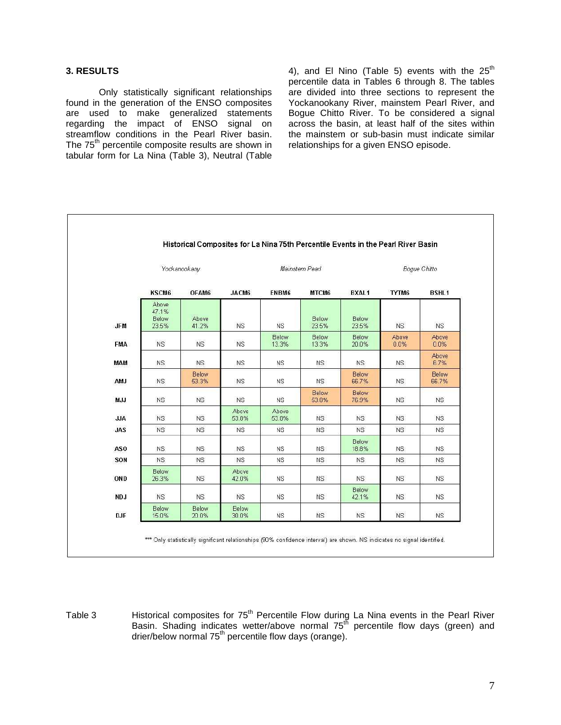### **3. RESULTS**

Only statistically significant relationships found in the generation of the ENSO composites are used to make generalized statements regarding the impact of ENSO signal on streamflow conditions in the Pearl River basin. The 75<sup>th</sup> percentile composite results are shown in tabular form for La Nina (Table 3), Neutral (Table

4), and El Nino (Table 5) events with the  $25<sup>th</sup>$ percentile data in Tables 6 through 8. The tables are divided into three sections to represent the Yockanookany River, mainstem Pearl River, and Bogue Chitto River. To be considered a signal across the basin, at least half of the sites within the mainstem or sub-basin must indicate similar relationships for a given ENSO episode.

|            | Yockanookany                     |                |                | Mainstem Pearl |                |                | <b>Bogue Chitto</b> |                |  |
|------------|----------------------------------|----------------|----------------|----------------|----------------|----------------|---------------------|----------------|--|
|            | KSCM6                            | OFAM6          | JACM6          | ENBM6          | MTCM6          | <b>BXAL1</b>   | TYTM6               | <b>BSHL1</b>   |  |
| <b>JFM</b> | Above<br>47.1%<br>Below<br>23.5% | Above<br>41.2% | <b>NS</b>      | <b>NS</b>      | Below<br>23.5% | Below<br>23.5% | NS.                 | <b>NS</b>      |  |
| <b>FMA</b> | <b>NS</b>                        | <b>NS</b>      | <b>NS</b>      | Below<br>13.3% | Below<br>13.3% | Below<br>20.0% | Above<br>0.0%       | Above<br>0.0%  |  |
| MAM        | NS.                              | NS.            | <b>NS</b>      | NS.            | NS.            | NS.            | NS.                 | Above<br>6.7%  |  |
| <b>AMJ</b> | <b>NS</b>                        | Below<br>53.3% | <b>NS</b>      | <b>NS</b>      | <b>NS</b>      | Below<br>66.7% | NS.                 | Below<br>66.7% |  |
| MJJ        | <b>NS</b>                        | NS             | <b>NS</b>      | NS             | Below<br>53.8% | Below<br>76.9% | <b>NS</b>           | NS             |  |
| <b>JJA</b> | NS:                              | <b>NS</b>      | Above<br>53.8% | Above<br>53.8% | NS.            | <b>NS</b>      | <b>NS</b>           | NS.            |  |
| <b>JAS</b> | <b>NS</b>                        | <b>NS</b>      | <b>NS</b>      | <b>NS</b>      | <b>NS</b>      | <b>NS</b>      | <b>NS</b>           | <b>NS</b>      |  |
| <b>ASO</b> | NS.                              | <b>NS</b>      | <b>NS</b>      | <b>NS</b>      | NS.            | Below<br>18.8% | NS.                 | <b>NS</b>      |  |
| SON        | NS.                              | <b>NS</b>      | <b>NS</b>      | <b>NS</b>      | <b>NS</b>      | <b>NS</b>      | <b>NS</b>           | <b>NS</b>      |  |
| OND        | <b>Below</b><br>26.3%            | <b>NS</b>      | Above<br>42.0% | <b>NS</b>      | NS.            | <b>NS</b>      | <b>NS</b>           | <b>NS</b>      |  |
| NDJ        | NS:                              | NS             | <b>NS</b>      | <b>NS</b>      | <b>NS</b>      | Below<br>42.1% | <b>NS</b>           | <b>NS</b>      |  |
| <b>DJF</b> | Below<br>15.0%                   | Below<br>20.0% | Below<br>30.0% | <b>NS</b>      | <b>NS</b>      | <b>NS</b>      | <b>NS</b>           | <b>NS</b>      |  |

Table 3 Historical composites for  $75<sup>th</sup>$  Percentile Flow during La Nina events in the Pearl River Basin. Shading indicates wetter/above normal 75<sup>th</sup> percentile flow days (green) and drier/below normal 75th percentile flow days (orange).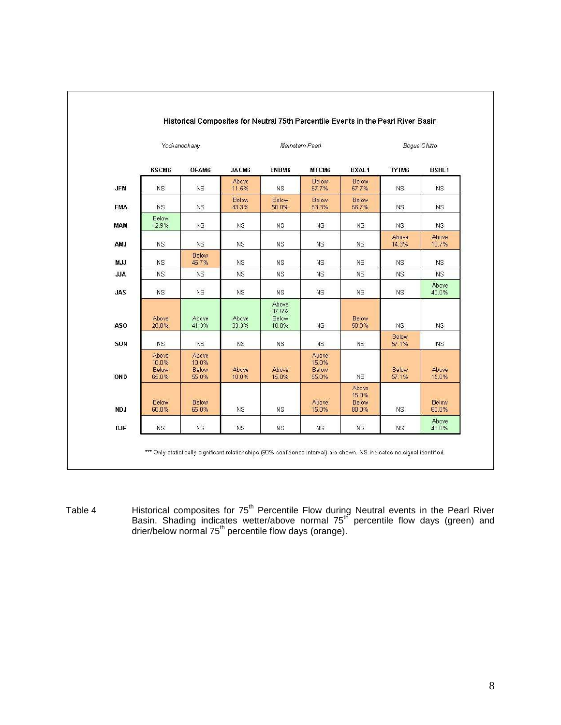|            |                                  | Yockanookany                     |                | Mainstem Pearl                   |                                  |                                  | Boque Chitto   |                |  |
|------------|----------------------------------|----------------------------------|----------------|----------------------------------|----------------------------------|----------------------------------|----------------|----------------|--|
|            | KSCM6                            | OFAM6                            | JACM6          | ENBM6                            | MTCM6                            | <b>BXAL1</b>                     | TYTM6          | <b>BSHL1</b>   |  |
| <b>JFM</b> | NS.                              | <b>NS</b>                        | Above<br>11.5% | <b>NS</b>                        | Below<br>57.7%                   | Below<br>57.7%                   | NS.            | <b>NS</b>      |  |
| FMA.       | <b>NS</b>                        | NS                               | Below<br>43.3% | Below<br>50.0%                   | Below<br>53.3%                   | Below<br>56.7%                   | NS             | NS             |  |
| <b>MAM</b> | Below<br>12.9%                   | <b>NS</b>                        | ΝS             | ΝS                               | NS.                              | NS                               | NS.            | <b>NS</b>      |  |
| AMJ        | NS.                              | <b>NS</b>                        | <b>NS</b>      | <b>NS</b>                        | NS                               | <b>NS</b>                        | Above<br>14.3% | Above<br>10.7% |  |
| MJJ        | <b>NS</b>                        | Below<br>46.7%                   | <b>NS</b>      | ΝS                               | <b>NS</b>                        | <b>NS</b>                        | NS.            | NS.            |  |
| <b>JJA</b> | NS.                              | <b>NS</b>                        | <b>NS</b>      | <b>NS</b>                        | <b>NS</b>                        | NS                               | NS.            | <b>NS</b>      |  |
| <b>JAS</b> | <b>NS</b>                        | <b>NS</b>                        | <b>NS</b>      | <b>NS</b>                        | <b>NS</b>                        | <b>NS</b>                        | <b>NS</b>      | Above<br>40.0% |  |
| <b>ASO</b> | Above<br>20.8%                   | Above<br>41.3%                   | Above<br>33.3% | Above<br>37.5%<br>Below<br>18.8% | NS.                              | Below<br>50.0%                   | NS.            | <b>NS</b>      |  |
| SON        | NS.                              | <b>NS</b>                        | <b>NS</b>      | <b>NS</b>                        | <b>NS</b>                        | <b>NS</b>                        | Below<br>57.1% | <b>NS</b>      |  |
| OND        | Above<br>10.0%<br>Below<br>65.0% | Above<br>10.0%<br>Below<br>55.0% | Above<br>10.0% | Above<br>15.0%                   | Above<br>15.0%<br>Below<br>55.0% | <b>NS</b>                        | Below<br>57.1% | Above<br>15.0% |  |
| NDJ        | Below<br>60.0%                   | Below<br>65.0%                   | <b>NS</b>      | <b>NS</b>                        | <b>Above</b><br>15.0%            | Above<br>15.0%<br>Below<br>80.0% | <b>NS</b>      | Below<br>60.0% |  |
| <b>DJF</b> | <b>NS</b>                        | <b>NS</b>                        | <b>NS</b>      | <b>NS</b>                        | <b>NS</b>                        | <b>NS</b>                        | <b>NS</b>      | Above<br>40.0% |  |

Table 4 **Historical composites for 75<sup>th</sup> Percentile Flow during Neutral events in the Pearl River** Basin. Shading indicates wetter/above normal  $75<sup>th</sup>$  percentile flow days (green) and drier/below normal 75<sup>th</sup> percentile flow days (orange).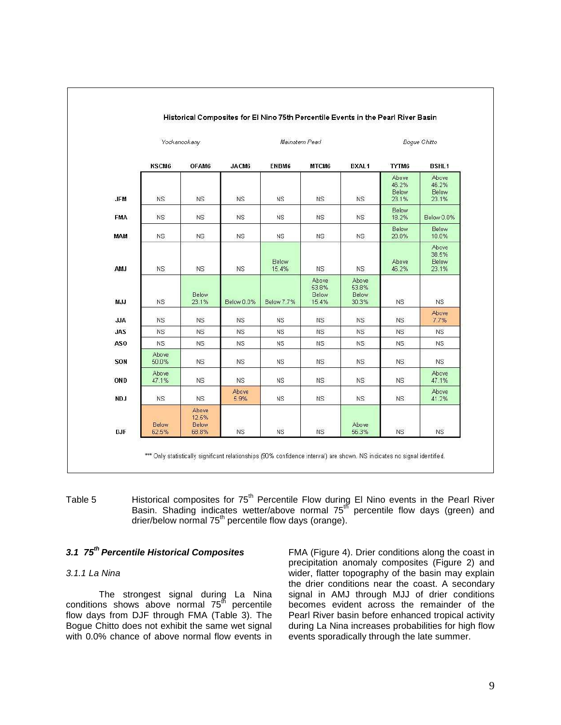|                 |                       | Yockanookany                     |               | Mainstem Pearl |                                  |                                  |                                  | Bogue Chitto                     |  |  |
|-----------------|-----------------------|----------------------------------|---------------|----------------|----------------------------------|----------------------------------|----------------------------------|----------------------------------|--|--|
|                 | KSCM6                 | OFAM6                            | JACM6         | ENBM6          | MTCM6                            | <b>BXAL1</b>                     | TYTM6                            | <b>BSHL1</b>                     |  |  |
| <b>JFM</b>      | NS.                   | <b>NS</b>                        | <b>NS</b>     | <b>NS</b>      | <b>NS</b>                        | <b>NS</b>                        | Above<br>46.2%<br>Below<br>23.1% | Above<br>46.2%<br>Below<br>23.1% |  |  |
| <b>FMA</b>      | <b>NS</b>             | <b>NS</b>                        | <b>NS</b>     | <b>NS</b>      | <b>NS</b>                        | <b>NS</b>                        | Below<br>18.2%                   | Below 0.0%                       |  |  |
| MAM             | NS.                   | NS.                              | <b>NS</b>     | <b>NS</b>      | <b>NS</b>                        | <b>NS</b>                        | Below<br>20.0%                   | Below<br>10.0%                   |  |  |
| <b>AMJ</b>      | <b>NS</b>             | <b>NS</b>                        | <b>NS</b>     | Below<br>15.4% | <b>NS</b>                        | NS                               | Above<br>46.2%                   | Above<br>38.5%<br>Below<br>23.1% |  |  |
| MJJ             | <b>NS</b>             | Below<br>23.1%                   | Below 0.0%    | Below 7.7%     | Above<br>53.8%<br>Below<br>15.4% | Above<br>53.8%<br>Below<br>30.3% | <b>NS</b>                        | <b>NS</b>                        |  |  |
| <b>JJA</b>      | NS.                   | <b>NS</b>                        | <b>NS</b>     | <b>NS</b>      | <b>NS</b>                        | <b>NS</b>                        | NS.                              | Above<br>7.7%                    |  |  |
| <b>JAS</b>      | <b>NS</b>             | <b>NS</b>                        | <b>NS</b>     | <b>NS</b>      | <b>NS</b>                        | <b>NS</b>                        | <b>NS</b>                        | <b>NS</b>                        |  |  |
| AS <sub>0</sub> | <b>NS</b>             | <b>NS</b>                        | <b>NS</b>     | <b>NS</b>      | NS.                              | <b>NS</b>                        | <b>NS</b>                        | <b>NS</b>                        |  |  |
| SON             | Above<br>50.0%        | <b>NS</b>                        | <b>NS</b>     | ΝS             | <b>NS</b>                        | <b>NS</b>                        | <b>NS</b>                        | <b>NS</b>                        |  |  |
| OND             | Above<br>47.1%        | <b>NS</b>                        | <b>NS</b>     | <b>NS</b>      | <b>NS</b>                        | <b>NS</b>                        | <b>NS</b>                        | Above<br>47.1%                   |  |  |
| NDJ             | NS                    | <b>NS</b>                        | Above<br>5.9% | <b>NS</b>      | <b>NS</b>                        | <b>NS</b>                        | <b>NS</b>                        | Above<br>41.2%                   |  |  |
| <b>DJF</b>      | <b>Below</b><br>62.5% | Above<br>12.5%<br>Below<br>68.8% | <b>NS</b>     | <b>NS</b>      | <b>NS</b>                        | Above<br>56.3%                   | <b>NS</b>                        | <b>NS</b>                        |  |  |

Table 5 Historical composites for  $75<sup>th</sup>$  Percentile Flow during El Nino events in the Pearl River Basin. Shading indicates wetter/above normal 75th percentile flow days (green) and drier/below normal  $75<sup>th</sup>$  percentile flow days (orange).

# **3.1 75th Percentile Historical Composites**

#### 3.1.1 La Nina

The strongest signal during La Nina conditions shows above normal  $75<sup>th</sup>$  percentile flow days from DJF through FMA (Table 3). The Bogue Chitto does not exhibit the same wet signal with 0.0% chance of above normal flow events in FMA (Figure 4). Drier conditions along the coast in precipitation anomaly composites (Figure 2) and wider, flatter topography of the basin may explain the drier conditions near the coast. A secondary signal in AMJ through MJJ of drier conditions becomes evident across the remainder of the Pearl River basin before enhanced tropical activity during La Nina increases probabilities for high flow events sporadically through the late summer.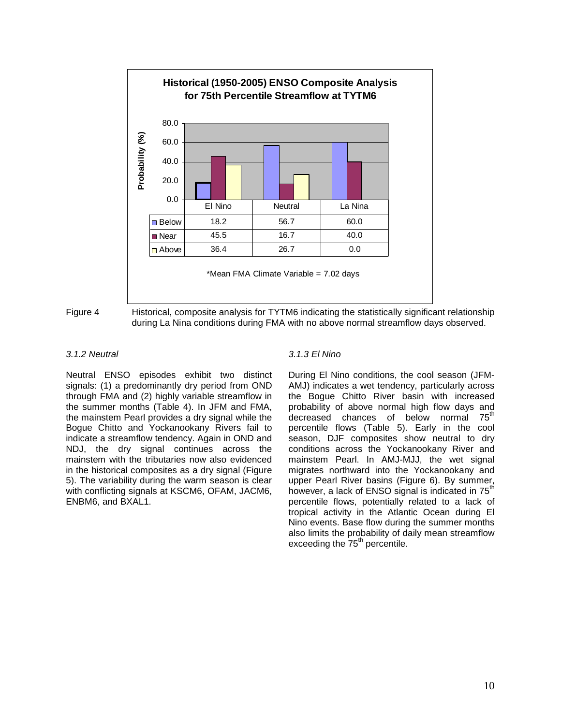



Figure 4 Historical, composite analysis for TYTM6 indicating the statistically significant relationship during La Nina conditions during FMA with no above normal streamflow days observed.

#### 3.1.2 Neutral

Neutral ENSO episodes exhibit two distinct signals: (1) a predominantly dry period from OND through FMA and (2) highly variable streamflow in the summer months (Table 4). In JFM and FMA, the mainstem Pearl provides a dry signal while the Bogue Chitto and Yockanookany Rivers fail to indicate a streamflow tendency. Again in OND and NDJ, the dry signal continues across the mainstem with the tributaries now also evidenced in the historical composites as a dry signal (Figure 5). The variability during the warm season is clear with conflicting signals at KSCM6, OFAM, JACM6, ENBM6, and BXAL1.

## 3.1.3 El Nino

During El Nino conditions, the cool season (JFM-AMJ) indicates a wet tendency, particularly across the Bogue Chitto River basin with increased probability of above normal high flow days and decreased chances of below normal 75<sup>th</sup> percentile flows (Table 5). Early in the cool season, DJF composites show neutral to dry conditions across the Yockanookany River and mainstem Pearl. In AMJ-MJJ, the wet signal migrates northward into the Yockanookany and upper Pearl River basins (Figure 6). By summer, however, a lack of ENSO signal is indicated in  $75<sup>th</sup>$ percentile flows, potentially related to a lack of tropical activity in the Atlantic Ocean during El Nino events. Base flow during the summer months also limits the probability of daily mean streamflow exceeding the  $75<sup>th</sup>$  percentile.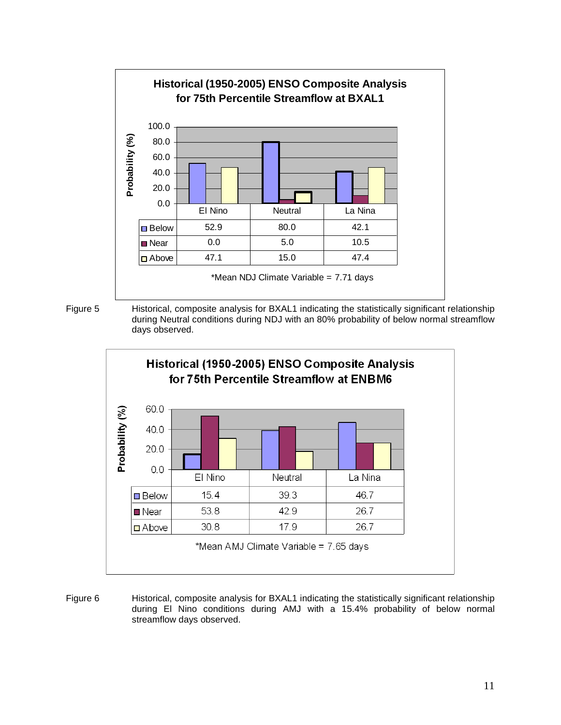



Figure 5 Historical, composite analysis for BXAL1 indicating the statistically significant relationship during Neutral conditions during NDJ with an 80% probability of below normal streamflow days observed.



Figure 6 Historical, composite analysis for BXAL1 indicating the statistically significant relationship during El Nino conditions during AMJ with a 15.4% probability of below normal streamflow days observed.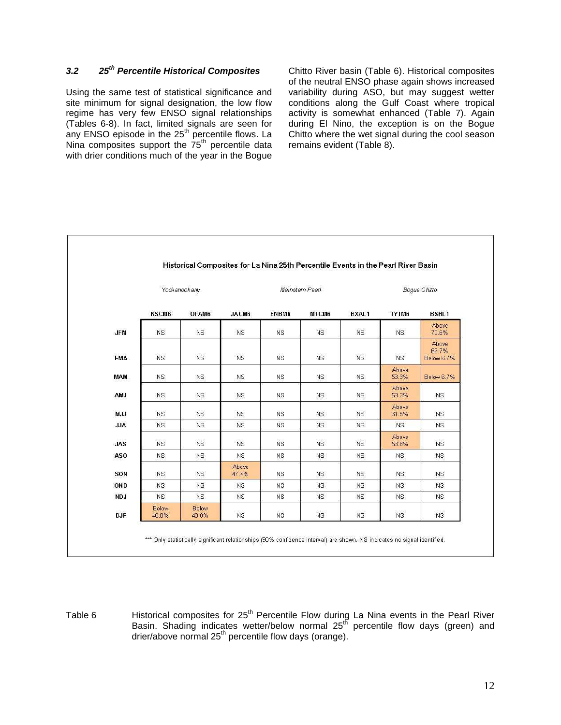# **3.2 25th Percentile Historical Composites**

Using the same test of statistical significance and site minimum for signal designation, the low flow regime has very few ENSO signal relationships (Tables 6-8). In fact, limited signals are seen for any ENSO episode in the  $25<sup>th</sup>$  percentile flows. La Nina composites support the 75<sup>th</sup> percentile data with drier conditions much of the year in the Bogue

Chitto River basin (Table 6). Historical composites of the neutral ENSO phase again shows increased variability during ASO, but may suggest wetter conditions along the Gulf Coast where tropical activity is somewhat enhanced (Table 7). Again during El Nino, the exception is on the Bogue Chitto where the wet signal during the cool season remains evident (Table 8).

|                 |                       | Yockanookany   |                | Mainstem Pearl |           |              |                       | <b>Boque Chitto</b>          |  |  |
|-----------------|-----------------------|----------------|----------------|----------------|-----------|--------------|-----------------------|------------------------------|--|--|
|                 | KSCM6                 | OFAM6          | JACM6          | ENBM6          | MTCM6     | <b>BXAL1</b> | TYTM6                 | <b>BSHL1</b>                 |  |  |
| <b>JFM</b>      | NS.                   | <b>NS</b>      | <b>NS</b>      | <b>NS</b>      | <b>NS</b> | NS.          | NS.                   | Above<br>70.6%               |  |  |
| <b>FMA</b>      | <b>NS</b>             | <b>NS</b>      | <b>NS</b>      | <b>NS</b>      | <b>NS</b> | <b>NS</b>    | <b>NS</b>             | Above<br>66.7%<br>Below 6.7% |  |  |
| <b>MAM</b>      | NS.                   | <b>NS</b>      | <b>NS</b>      | <b>NS</b>      | NS.       | <b>NS</b>    | Above<br>53.3%        | Below 6.7%                   |  |  |
| AMJ             | NS.                   | <b>NS</b>      | <b>NS</b>      | <b>NS</b>      | <b>NS</b> | <b>NS</b>    | Above<br>53.3%        | <b>NS</b>                    |  |  |
| <b>MJJ</b>      | <b>NS</b>             | <b>NS</b>      | <b>NS</b>      | <b>NS</b>      | <b>NS</b> | <b>NS</b>    | Above<br>61.5%        | <b>NS</b>                    |  |  |
| <b>JJA</b>      | <b>NS</b>             | <b>NS</b>      | <b>NS</b>      | <b>NS</b>      | <b>NS</b> | <b>NS</b>    | NS.                   | <b>NS</b>                    |  |  |
| <b>JAS</b>      | <b>NS</b>             | <b>NS</b>      | <b>NS</b>      | <b>NS</b>      | <b>NS</b> | <b>NS</b>    | <b>Above</b><br>53.8% | <b>NS</b>                    |  |  |
| AS <sub>0</sub> | NS.                   | <b>NS</b>      | <b>NS</b>      | <b>NS</b>      | <b>NS</b> | NS.          | NS.                   | NS.                          |  |  |
| SON             | NS.                   | <b>NS</b>      | Above<br>47.4% | <b>NS</b>      | NS.       | <b>NS</b>    | <b>NS</b>             | <b>NS</b>                    |  |  |
| OND             | <b>NS</b>             | <b>NS</b>      | <b>NS</b>      | <b>NS</b>      | <b>NS</b> | <b>NS</b>    | <b>NS</b>             | NS.                          |  |  |
| <b>NDJ</b>      | <b>NS</b>             | <b>NS</b>      | <b>NS</b>      | <b>NS</b>      | <b>NS</b> | NS.          | NS                    | <b>NS</b>                    |  |  |
| <b>DJF</b>      | <b>Below</b><br>40.0% | Below<br>40.0% | <b>NS</b>      | <b>NS</b>      | <b>NS</b> | <b>NS</b>    | <b>NS</b>             | <b>NS</b>                    |  |  |

Table 6 **Historical composites for 25<sup>th</sup> Percentile Flow during La Nina events in the Pearl River** Basin. Shading indicates wetter/below normal 25<sup>th</sup> percentile flow days (green) and drier/above normal 25<sup>th</sup> percentile flow days (orange).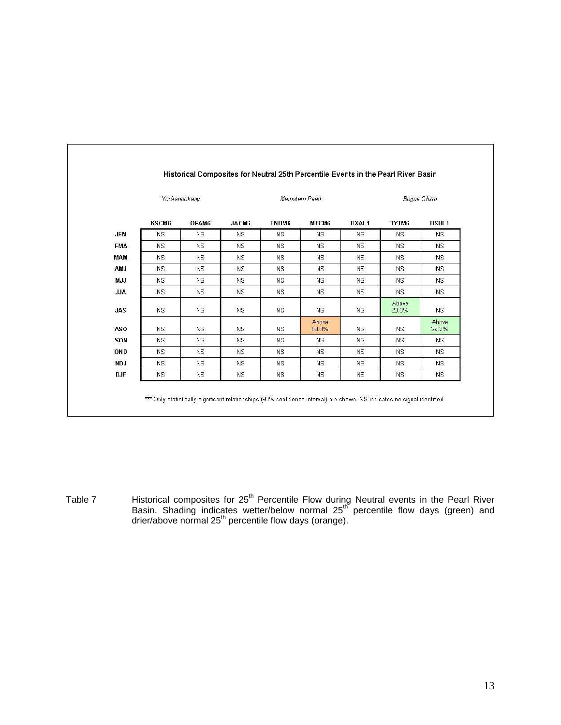|                 | Yockanookany |           |           |           | Mainstem Pearl |              | Boque Chitto   |                |  |
|-----------------|--------------|-----------|-----------|-----------|----------------|--------------|----------------|----------------|--|
|                 | KSCM6        | OFAM6     | JACM6     | ENBM6     | MTCM6          | <b>BXAL1</b> | TYTM6          | <b>BSHL1</b>   |  |
| <b>JFM</b>      | <b>NS</b>    | NS.       | <b>NS</b> | <b>NS</b> | NS.            | <b>NS</b>    | <b>NS</b>      | <b>NS</b>      |  |
| <b>FMA</b>      | <b>NS</b>    | <b>NS</b> | <b>NS</b> | <b>NS</b> | <b>NS</b>      | <b>NS</b>    | <b>NS</b>      | <b>NS</b>      |  |
| MAM             | NS.          | NS.       | <b>NS</b> | NS.       | NS.            | <b>NS</b>    | NS.            | NS.            |  |
| AMJ             | <b>NS</b>    | <b>NS</b> | <b>NS</b> | ΝS.       | NS.            | <b>NS</b>    | <b>NS</b>      | <b>NS</b>      |  |
| <b>MJJ</b>      | <b>NS</b>    | NS.       | <b>NS</b> | <b>NS</b> | <b>NS</b>      | <b>NS</b>    | <b>NS</b>      | <b>NS</b>      |  |
| <b>ALL</b>      | NS.          | <b>NS</b> | <b>NS</b> | <b>NS</b> | NS.            | <b>NS</b>    | NS.            | <b>NS</b>      |  |
| <b>JAS</b>      | <b>NS</b>    | NS.       | <b>NS</b> | <b>NS</b> | NS             | <b>NS</b>    | Above<br>23.3% | NS.            |  |
| AS <sub>0</sub> | NS.          | NS.       | <b>NS</b> | NS.       | Above<br>50.0% | <b>NS</b>    | NS.            | Above<br>29.2% |  |
| SON             | <b>NS</b>    | <b>NS</b> | <b>NS</b> | NS.       | <b>NS</b>      | <b>NS</b>    | <b>NS</b>      | <b>NS</b>      |  |
| OND             | <b>NS</b>    | NS.       | <b>NS</b> | <b>NS</b> | <b>NS</b>      | <b>NS</b>    | <b>NS</b>      | <b>NS</b>      |  |
| <b>NDJ</b>      | NS.          | <b>NS</b> | <b>NS</b> | <b>NS</b> | <b>NS</b>      | <b>NS</b>    | NS.            | <b>NS</b>      |  |
| <b>DJF</b>      | <b>NS</b>    | <b>NS</b> | <b>NS</b> | <b>NS</b> | <b>NS</b>      | <b>NS</b>    | <b>NS</b>      | <b>NS</b>      |  |

Table 7 **Historical composites for 25<sup>th</sup> Percentile Flow during Neutral events in the Pearl River** Basin. Shading indicates wetter/below normal 25<sup>th</sup> percentile flow days (green) and drier/above normal 25<sup>th</sup> percentile flow days (orange).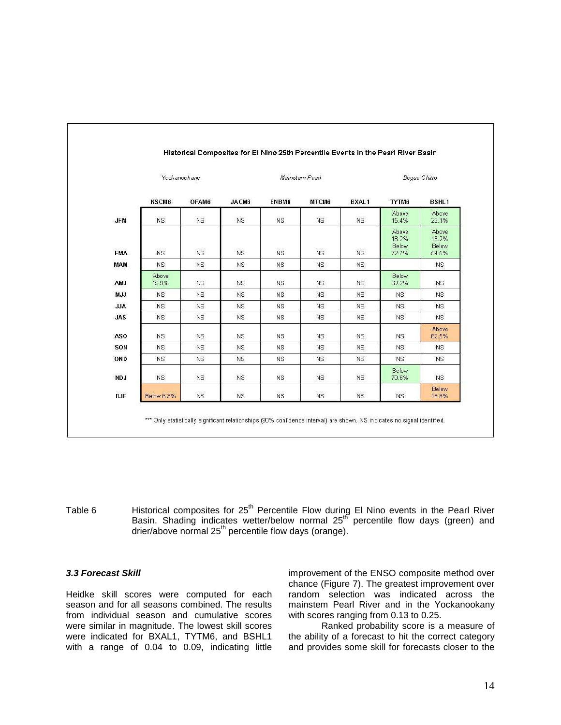|                 |                   | Yockanookany |           |           | Mainstem Pearl |              |                                  | Boque Chitto                     |  |  |
|-----------------|-------------------|--------------|-----------|-----------|----------------|--------------|----------------------------------|----------------------------------|--|--|
|                 | KSCM6             | OFAM6        | JACM6     | ENBM6     | MTCM6          | <b>BXAL1</b> | TYTM6                            | <b>BSHL1</b>                     |  |  |
| <b>JFM</b>      | <b>NS</b>         | <b>NS</b>    | NS        | <b>NS</b> | <b>NS</b>      | <b>NS</b>    | Above<br>15.4%                   | Above<br>23.1%                   |  |  |
| <b>FMA</b>      | <b>NS</b>         | <b>NS</b>    | <b>NS</b> | <b>NS</b> | <b>NS</b>      | <b>NS</b>    | Above<br>18.2%<br>Below<br>72.7% | Above<br>18.2%<br>Below<br>54.5% |  |  |
| MAM             | NS.               | <b>NS</b>    | <b>NS</b> | ΝS        | <b>NS</b>      | <b>NS</b>    |                                  | <b>NS</b>                        |  |  |
| AMJ             | Above<br>15.9%    | <b>NS</b>    | <b>NS</b> | <b>NS</b> | <b>NS</b>      | <b>NS</b>    | <b>Below</b><br>69.2%            | <b>NS</b>                        |  |  |
| M.J.J           | <b>NS</b>         | <b>NS</b>    | NS        | <b>NS</b> | NS             | <b>NS</b>    | <b>NS</b>                        | <b>NS</b>                        |  |  |
| <b>ALL</b>      | NS.               | <b>NS</b>    | <b>NS</b> | <b>NS</b> | <b>NS</b>      | <b>NS</b>    | NS.                              | <b>NS</b>                        |  |  |
| <b>JAS</b>      | <b>NS</b>         | <b>NS</b>    | <b>NS</b> | <b>NS</b> | <b>NS</b>      | <b>NS</b>    | <b>NS</b>                        | <b>NS</b>                        |  |  |
| AS <sub>0</sub> | NS.               | <b>NS</b>    | <b>NS</b> | NS.       | NS.            | <b>NS</b>    | NS.                              | Above<br>62.5%                   |  |  |
| SON             | NS.               | <b>NS</b>    | <b>NS</b> | ΝS.       | <b>NS</b>      | <b>NS</b>    | <b>NS</b>                        | <b>NS</b>                        |  |  |
| OND             | <b>NS</b>         | <b>NS</b>    | <b>NS</b> | <b>NS</b> | <b>NS</b>      | <b>NS</b>    | <b>NS</b>                        | <b>NS</b>                        |  |  |
| NDJ             | NS.               | <b>NS</b>    | <b>NS</b> | <b>NS</b> | <b>NS</b>      | <b>NS</b>    | Below<br>70.6%                   | <b>NS</b>                        |  |  |
| <b>DJF</b>      | <b>Below 6.3%</b> | <b>NS</b>    | <b>NS</b> | <b>NS</b> | <b>NS</b>      | <b>NS</b>    | <b>NS</b>                        | Below<br>18.8%                   |  |  |

Table 6 **Historical composites for 25<sup>th</sup> Percentile Flow during El Nino events in the Pearl River** Basin. Shading indicates wetter/below normal 25<sup>th</sup> percentile flow days (green) and drier/above normal 25<sup>th</sup> percentile flow days (orange).

## **3.3 Forecast Skill**

Heidke skill scores were computed for each season and for all seasons combined. The results from individual season and cumulative scores were similar in magnitude. The lowest skill scores were indicated for BXAL1, TYTM6, and BSHL1 with a range of 0.04 to 0.09, indicating little improvement of the ENSO composite method over chance (Figure 7). The greatest improvement over random selection was indicated across the mainstem Pearl River and in the Yockanookany with scores ranging from 0.13 to 0.25.

Ranked probability score is a measure of the ability of a forecast to hit the correct category and provides some skill for forecasts closer to the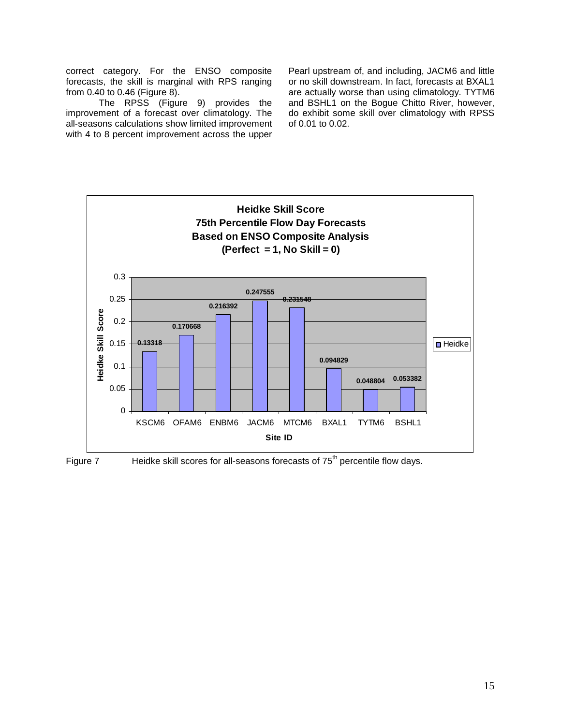correct category. For the ENSO composite forecasts, the skill is marginal with RPS ranging from 0.40 to 0.46 (Figure 8).

The RPSS (Figure 9) provides the improvement of a forecast over climatology. The all-seasons calculations show limited improvement with 4 to 8 percent improvement across the upper

Pearl upstream of, and including, JACM6 and little or no skill downstream. In fact, forecasts at BXAL1 are actually worse than using climatology. TYTM6 and BSHL1 on the Bogue Chitto River, however, do exhibit some skill over climatology with RPSS of 0.01 to 0.02.



Figure 7 Heidke skill scores for all-seasons forecasts of  $75<sup>th</sup>$  percentile flow days.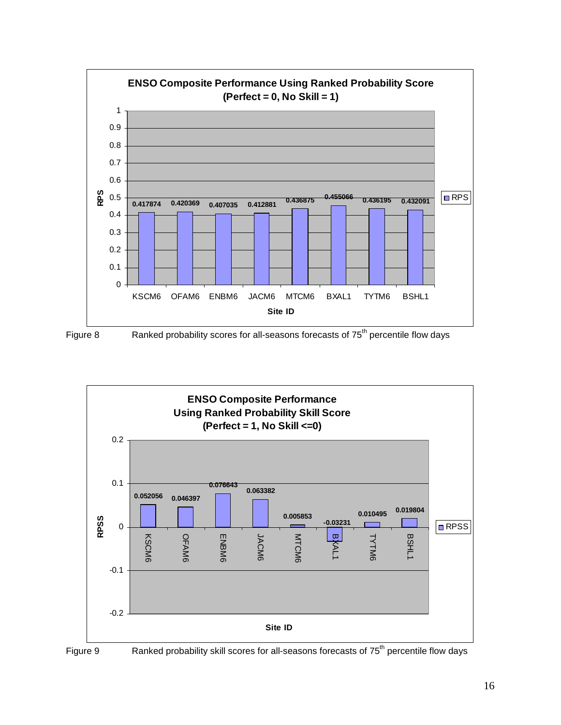



Figure 8 Ranked probability scores for all-seasons forecasts of 75<sup>th</sup> percentile flow days



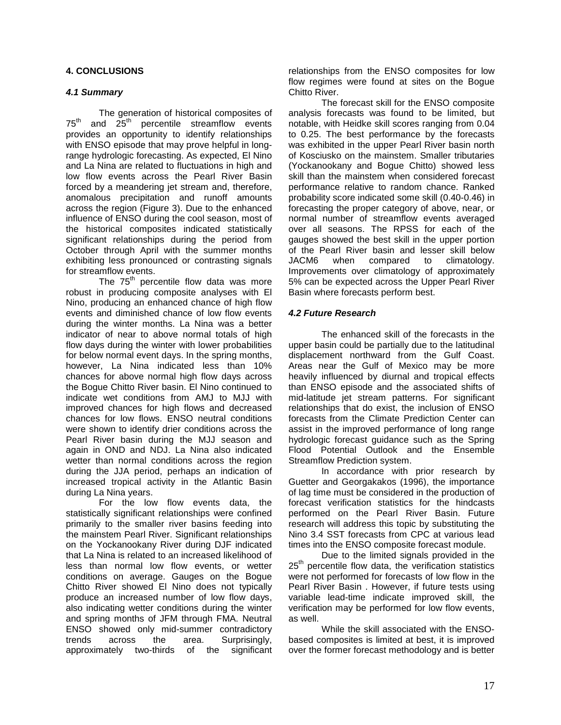# **4. CONCLUSIONS**

# **4.1 Summary**

The generation of historical composites of  $75<sup>th</sup>$  and  $25<sup>th</sup>$  percentile streamflow events provides an opportunity to identify relationships with ENSO episode that may prove helpful in longrange hydrologic forecasting. As expected, El Nino and La Nina are related to fluctuations in high and low flow events across the Pearl River Basin forced by a meandering jet stream and, therefore, anomalous precipitation and runoff amounts across the region (Figure 3). Due to the enhanced influence of ENSO during the cool season, most of the historical composites indicated statistically significant relationships during the period from October through April with the summer months exhibiting less pronounced or contrasting signals for streamflow events.

The  $75<sup>th</sup>$  percentile flow data was more robust in producing composite analyses with El Nino, producing an enhanced chance of high flow events and diminished chance of low flow events during the winter months. La Nina was a better indicator of near to above normal totals of high flow days during the winter with lower probabilities for below normal event days. In the spring months, however, La Nina indicated less than 10% chances for above normal high flow days across the Bogue Chitto River basin. El Nino continued to indicate wet conditions from AMJ to MJJ with improved chances for high flows and decreased chances for low flows. ENSO neutral conditions were shown to identify drier conditions across the Pearl River basin during the MJJ season and again in OND and NDJ. La Nina also indicated wetter than normal conditions across the region during the JJA period, perhaps an indication of increased tropical activity in the Atlantic Basin during La Nina years.

For the low flow events data, the statistically significant relationships were confined primarily to the smaller river basins feeding into the mainstem Pearl River. Significant relationships on the Yockanookany River during DJF indicated that La Nina is related to an increased likelihood of less than normal low flow events, or wetter conditions on average. Gauges on the Bogue Chitto River showed El Nino does not typically produce an increased number of low flow days, also indicating wetter conditions during the winter and spring months of JFM through FMA. Neutral ENSO showed only mid-summer contradictory trends across the area. Surprisingly, approximately two-thirds of the significant relationships from the ENSO composites for low flow regimes were found at sites on the Bogue Chitto River.

The forecast skill for the ENSO composite analysis forecasts was found to be limited, but notable, with Heidke skill scores ranging from 0.04 to 0.25. The best performance by the forecasts was exhibited in the upper Pearl River basin north of Kosciusko on the mainstem. Smaller tributaries (Yockanookany and Bogue Chitto) showed less skill than the mainstem when considered forecast performance relative to random chance. Ranked probability score indicated some skill (0.40-0.46) in forecasting the proper category of above, near, or normal number of streamflow events averaged over all seasons. The RPSS for each of the gauges showed the best skill in the upper portion of the Pearl River basin and lesser skill below JACM6 when compared to climatology. Improvements over climatology of approximately 5% can be expected across the Upper Pearl River Basin where forecasts perform best.

# **4.2 Future Research**

The enhanced skill of the forecasts in the upper basin could be partially due to the latitudinal displacement northward from the Gulf Coast. Areas near the Gulf of Mexico may be more heavily influenced by diurnal and tropical effects than ENSO episode and the associated shifts of mid-latitude jet stream patterns. For significant relationships that do exist, the inclusion of ENSO forecasts from the Climate Prediction Center can assist in the improved performance of long range hydrologic forecast guidance such as the Spring Flood Potential Outlook and the Ensemble Streamflow Prediction system.

In accordance with prior research by Guetter and Georgakakos (1996), the importance of lag time must be considered in the production of forecast verification statistics for the hindcasts performed on the Pearl River Basin. Future research will address this topic by substituting the Nino 3.4 SST forecasts from CPC at various lead times into the ENSO composite forecast module.

Due to the limited signals provided in the  $25<sup>th</sup>$  percentile flow data, the verification statistics were not performed for forecasts of low flow in the Pearl River Basin . However, if future tests using variable lead-time indicate improved skill, the verification may be performed for low flow events, as well.

While the skill associated with the ENSObased composites is limited at best, it is improved over the former forecast methodology and is better